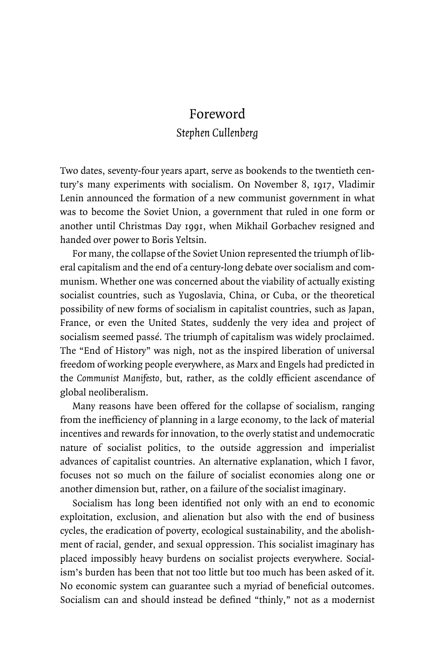## Foreword

## *Stephen Cullenberg*

Two dates, seventy-four years apart, serve as bookends to the twentieth century's many experiments with socialism. On November 8, 1917, Vladimir Lenin announced the formation of a new communist government in what was to become the Soviet Union, a government that ruled in one form or another until Christmas Day 1991, when Mikhail Gorbachev resigned and handed over power to Boris Yeltsin.

For many, the collapse of the Soviet Union represented the triumph of liberal capitalism and the end of a century-long debate over socialism and communism. Whether one was concerned about the viability of actually existing socialist countries, such as Yugoslavia, China, or Cuba, or the theoretical possibility of new forms of socialism in capitalist countries, such as Japan, France, or even the United States, suddenly the very idea and project of socialism seemed passé. The triumph of capitalism was widely proclaimed. The "End of History" was nigh, not as the inspired liberation of universal freedom of working people everywhere, as Marx and Engels had predicted in the *Communist Manifesto*, but, rather, as the coldly efficient ascendance of global neoliberalism.

Many reasons have been offered for the collapse of socialism, ranging from the inefficiency of planning in a large economy, to the lack of material incentives and rewards for innovation, to the overly statist and undemocratic nature of socialist politics, to the outside aggression and imperialist advances of capitalist countries. An alternative explanation, which I favor, focuses not so much on the failure of socialist economies along one or another dimension but, rather, on a failure of the socialist imaginary.

Socialism has long been identified not only with an end to economic exploitation, exclusion, and alienation but also with the end of business cycles, the eradication of poverty, ecological sustainability, and the abolishment of racial, gender, and sexual oppression. This socialist imaginary has placed impossibly heavy burdens on socialist projects everywhere. Socialism's burden has been that not too little but too much has been asked of it. No economic system can guarantee such a myriad of beneficial outcomes. Socialism can and should instead be defined "thinly," not as a modernist